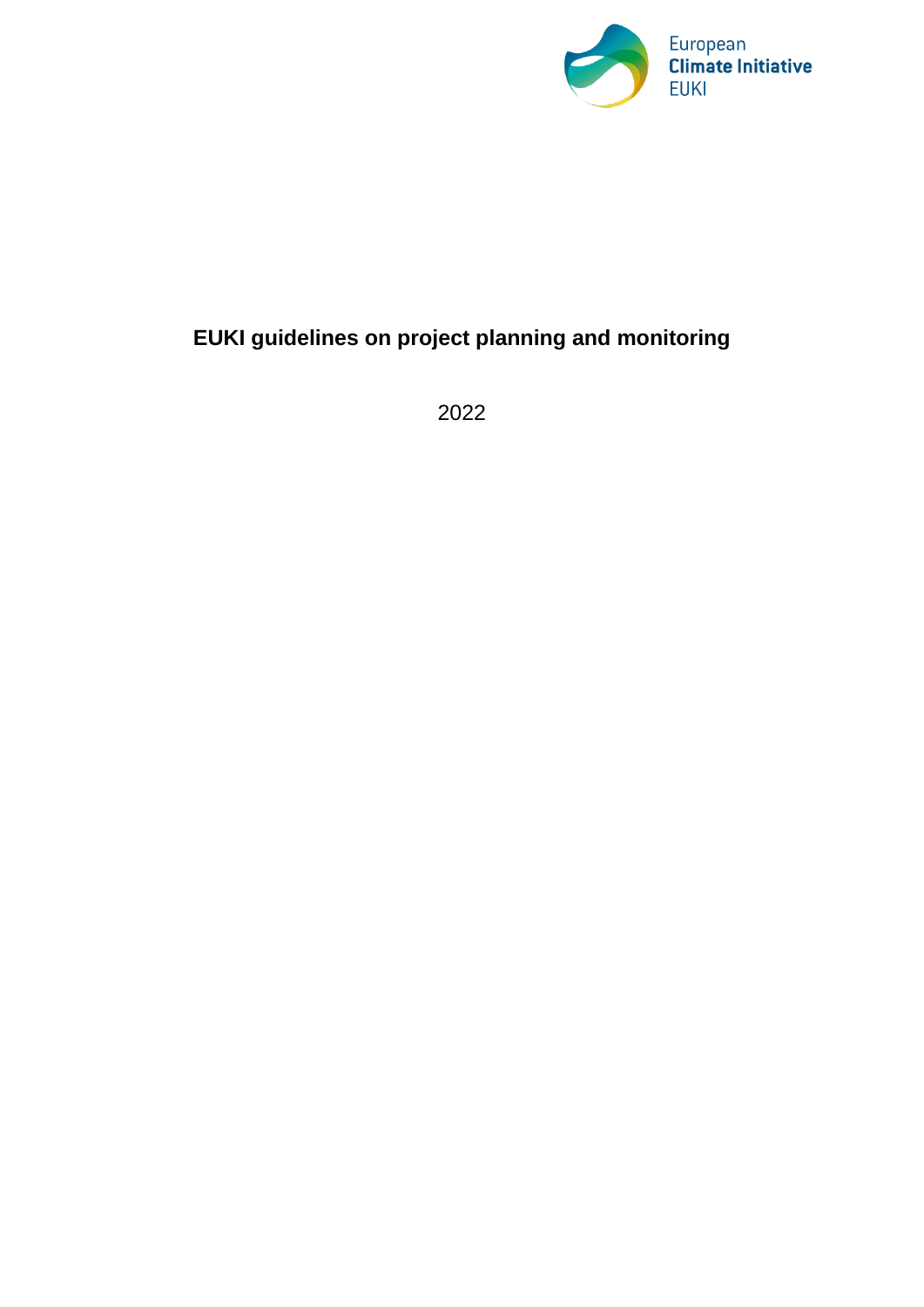

# **EUKI guidelines on project planning and monitoring**

2022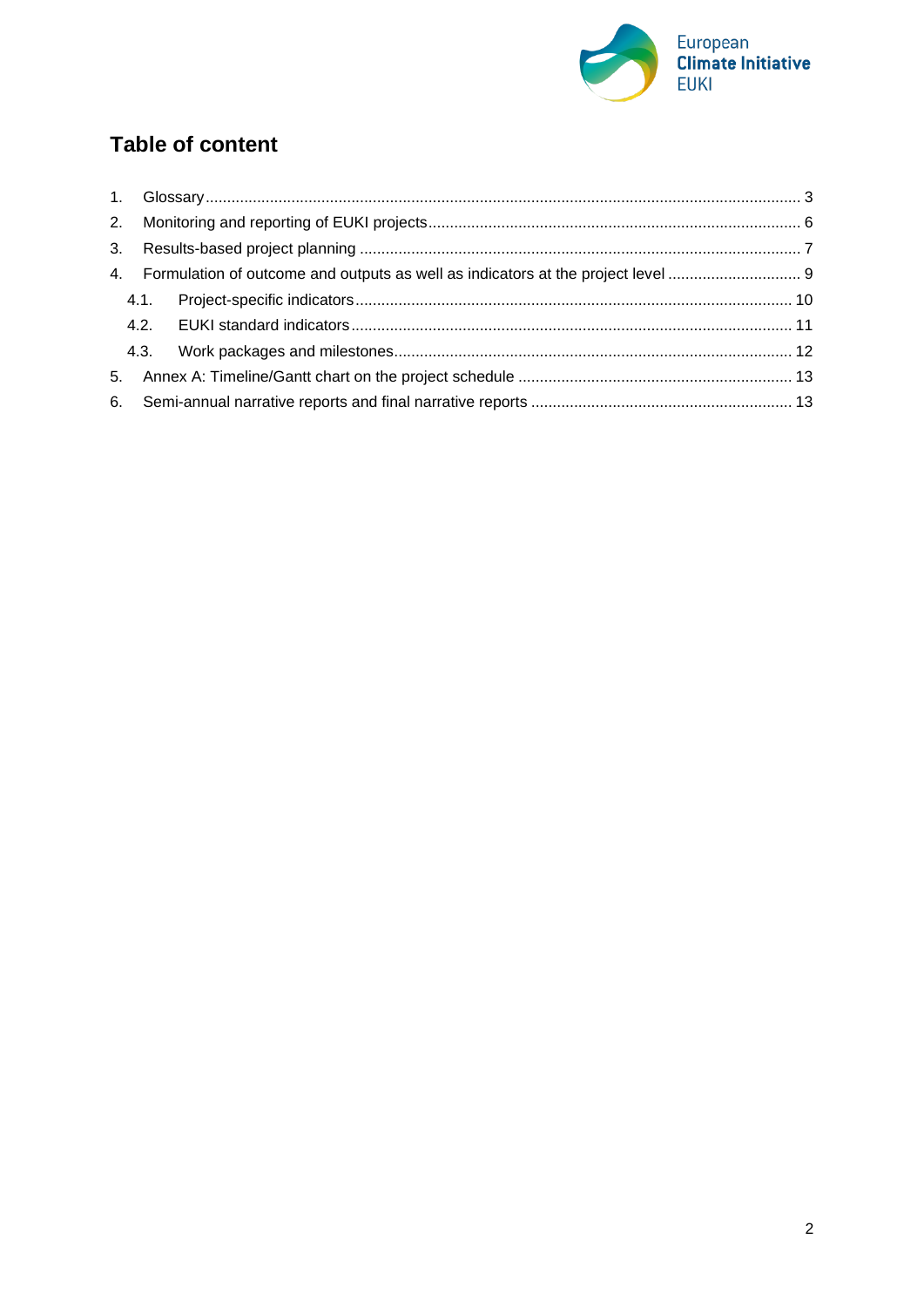

# **Table of content**

| 3. |      |  |
|----|------|--|
|    |      |  |
|    |      |  |
|    |      |  |
|    | 4.3. |  |
|    |      |  |
|    |      |  |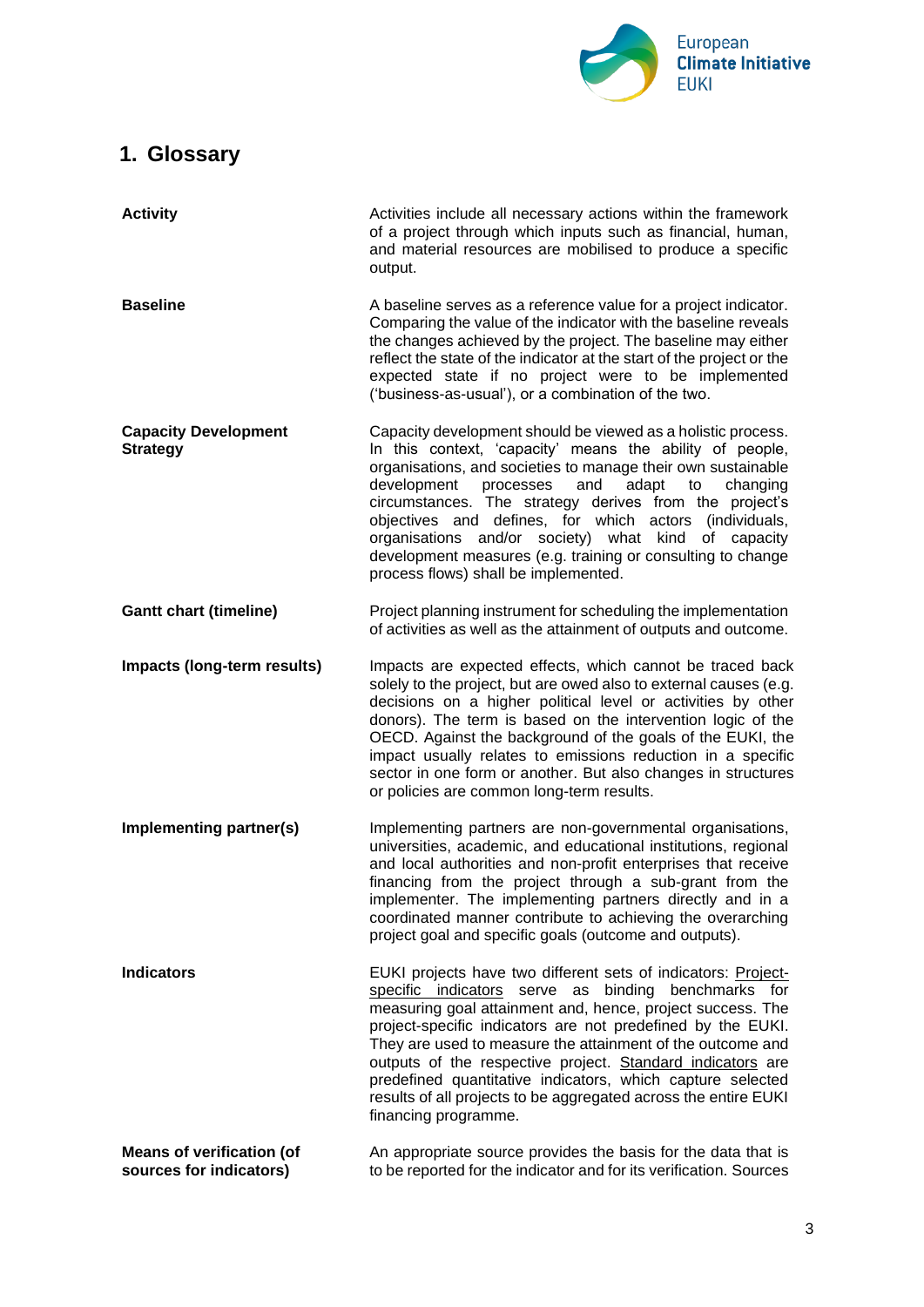

# <span id="page-2-0"></span>**1. Glossary**

| <b>Activity</b>                                             | Activities include all necessary actions within the framework<br>of a project through which inputs such as financial, human,<br>and material resources are mobilised to produce a specific<br>output.                                                                                                                                                                                                                                                                                                                                    |
|-------------------------------------------------------------|------------------------------------------------------------------------------------------------------------------------------------------------------------------------------------------------------------------------------------------------------------------------------------------------------------------------------------------------------------------------------------------------------------------------------------------------------------------------------------------------------------------------------------------|
| <b>Baseline</b>                                             | A baseline serves as a reference value for a project indicator.<br>Comparing the value of the indicator with the baseline reveals<br>the changes achieved by the project. The baseline may either<br>reflect the state of the indicator at the start of the project or the<br>expected state if no project were to be implemented<br>('business-as-usual'), or a combination of the two.                                                                                                                                                 |
| <b>Capacity Development</b><br><b>Strategy</b>              | Capacity development should be viewed as a holistic process.<br>In this context, 'capacity' means the ability of people,<br>organisations, and societies to manage their own sustainable<br>development<br>processes<br>and<br>adapt<br>changing<br>to<br>circumstances. The strategy derives from the project's<br>objectives and defines, for which actors (individuals,<br>organisations and/or society) what kind of capacity<br>development measures (e.g. training or consulting to change<br>process flows) shall be implemented. |
| <b>Gantt chart (timeline)</b>                               | Project planning instrument for scheduling the implementation<br>of activities as well as the attainment of outputs and outcome.                                                                                                                                                                                                                                                                                                                                                                                                         |
| Impacts (long-term results)                                 | Impacts are expected effects, which cannot be traced back<br>solely to the project, but are owed also to external causes (e.g.<br>decisions on a higher political level or activities by other<br>donors). The term is based on the intervention logic of the<br>OECD. Against the background of the goals of the EUKI, the<br>impact usually relates to emissions reduction in a specific<br>sector in one form or another. But also changes in structures<br>or policies are common long-term results.                                 |
| Implementing partner(s)                                     | Implementing partners are non-governmental organisations,<br>universities, academic, and educational institutions, regional<br>and local authorities and non-profit enterprises that receive<br>financing from the project through a sub-grant from the<br>implementer. The implementing partners directly and in a<br>coordinated manner contribute to achieving the overarching<br>project goal and specific goals (outcome and outputs).                                                                                              |
| <b>Indicators</b>                                           | EUKI projects have two different sets of indicators: Project-<br>specific indicators serve as binding benchmarks for<br>measuring goal attainment and, hence, project success. The<br>project-specific indicators are not predefined by the EUKI.<br>They are used to measure the attainment of the outcome and<br>outputs of the respective project. Standard indicators are<br>predefined quantitative indicators, which capture selected<br>results of all projects to be aggregated across the entire EUKI<br>financing programme.   |
| <b>Means of verification (of</b><br>sources for indicators) | An appropriate source provides the basis for the data that is<br>to be reported for the indicator and for its verification. Sources                                                                                                                                                                                                                                                                                                                                                                                                      |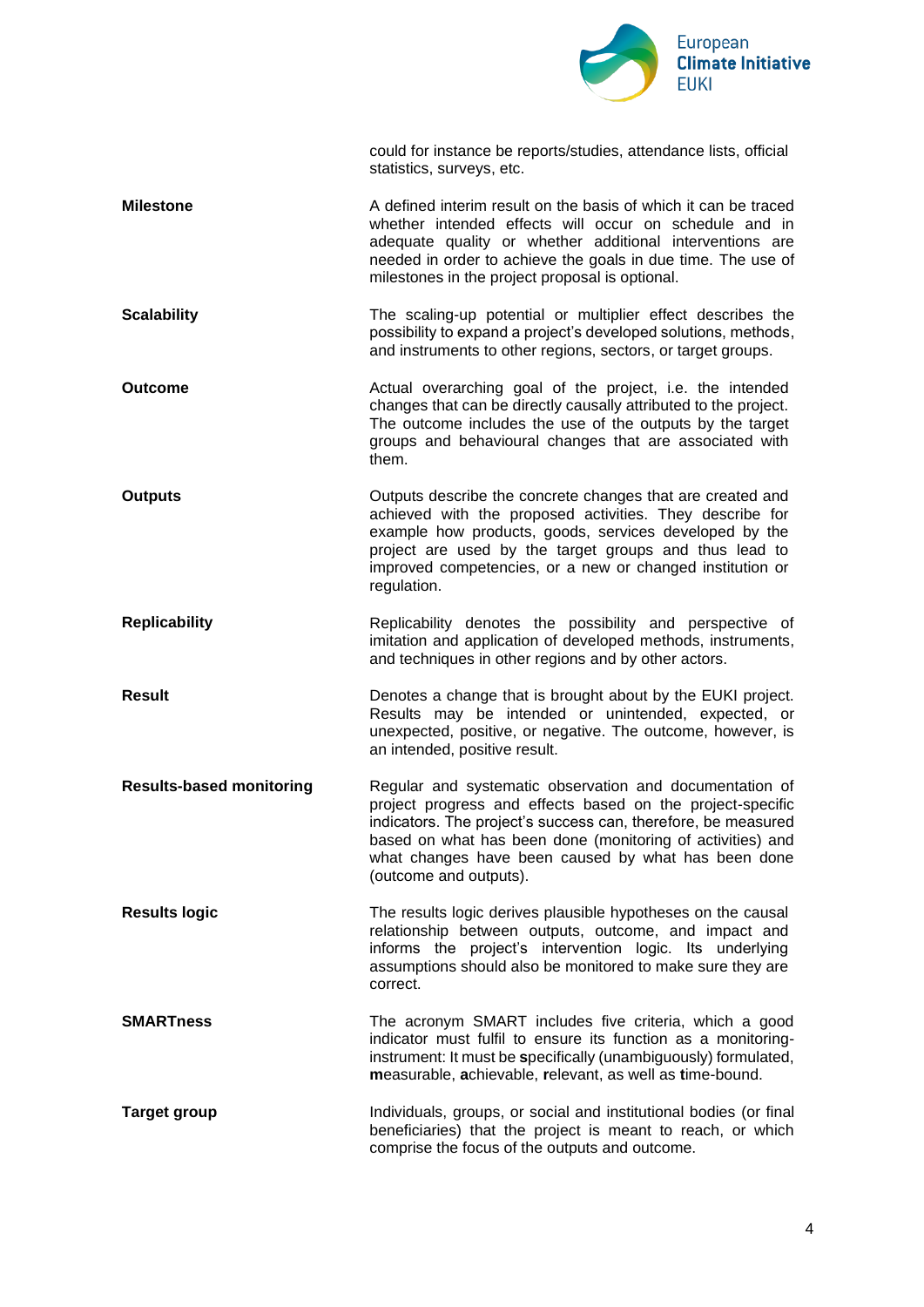

|                                 | could for instance be reports/studies, attendance lists, official<br>statistics, surveys, etc.                                                                                                                                                                                                                                        |
|---------------------------------|---------------------------------------------------------------------------------------------------------------------------------------------------------------------------------------------------------------------------------------------------------------------------------------------------------------------------------------|
| <b>Milestone</b>                | A defined interim result on the basis of which it can be traced<br>whether intended effects will occur on schedule and in<br>adequate quality or whether additional interventions are<br>needed in order to achieve the goals in due time. The use of<br>milestones in the project proposal is optional.                              |
| <b>Scalability</b>              | The scaling-up potential or multiplier effect describes the<br>possibility to expand a project's developed solutions, methods,<br>and instruments to other regions, sectors, or target groups.                                                                                                                                        |
| <b>Outcome</b>                  | Actual overarching goal of the project, i.e. the intended<br>changes that can be directly causally attributed to the project.<br>The outcome includes the use of the outputs by the target<br>groups and behavioural changes that are associated with<br>them.                                                                        |
| <b>Outputs</b>                  | Outputs describe the concrete changes that are created and<br>achieved with the proposed activities. They describe for<br>example how products, goods, services developed by the<br>project are used by the target groups and thus lead to<br>improved competencies, or a new or changed institution or<br>regulation.                |
| <b>Replicability</b>            | Replicability denotes the possibility and perspective of<br>imitation and application of developed methods, instruments,<br>and techniques in other regions and by other actors.                                                                                                                                                      |
| <b>Result</b>                   | Denotes a change that is brought about by the EUKI project.<br>Results may be intended or unintended, expected, or<br>unexpected, positive, or negative. The outcome, however, is<br>an intended, positive result.                                                                                                                    |
| <b>Results-based monitoring</b> | Regular and systematic observation and documentation of<br>project progress and effects based on the project-specific<br>indicators. The project's success can, therefore, be measured<br>based on what has been done (monitoring of activities) and<br>what changes have been caused by what has been done<br>(outcome and outputs). |
| <b>Results logic</b>            | The results logic derives plausible hypotheses on the causal<br>relationship between outputs, outcome, and impact and<br>informs the project's intervention logic. Its underlying<br>assumptions should also be monitored to make sure they are<br>correct.                                                                           |
| <b>SMARTness</b>                | The acronym SMART includes five criteria, which a good<br>indicator must fulfil to ensure its function as a monitoring-<br>instrument: It must be specifically (unambiguously) formulated,<br>measurable, achievable, relevant, as well as time-bound.                                                                                |
| <b>Target group</b>             | Individuals, groups, or social and institutional bodies (or final<br>beneficiaries) that the project is meant to reach, or which<br>comprise the focus of the outputs and outcome.                                                                                                                                                    |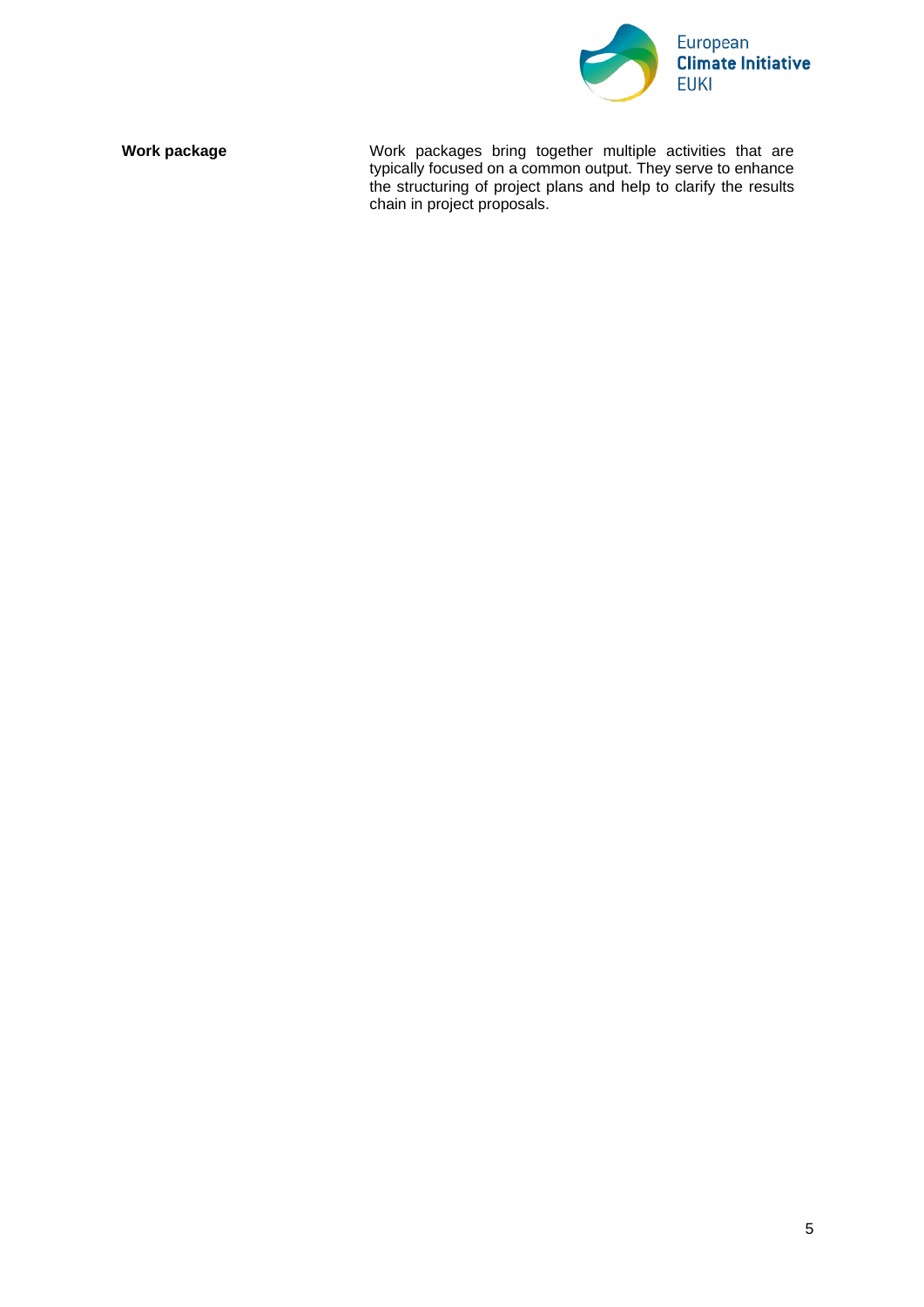

**Work package Work packages** bring together multiple activities that are typically focused on a common output. They serve to enhance the structuring of project plans and help to clarify the results chain in project proposals.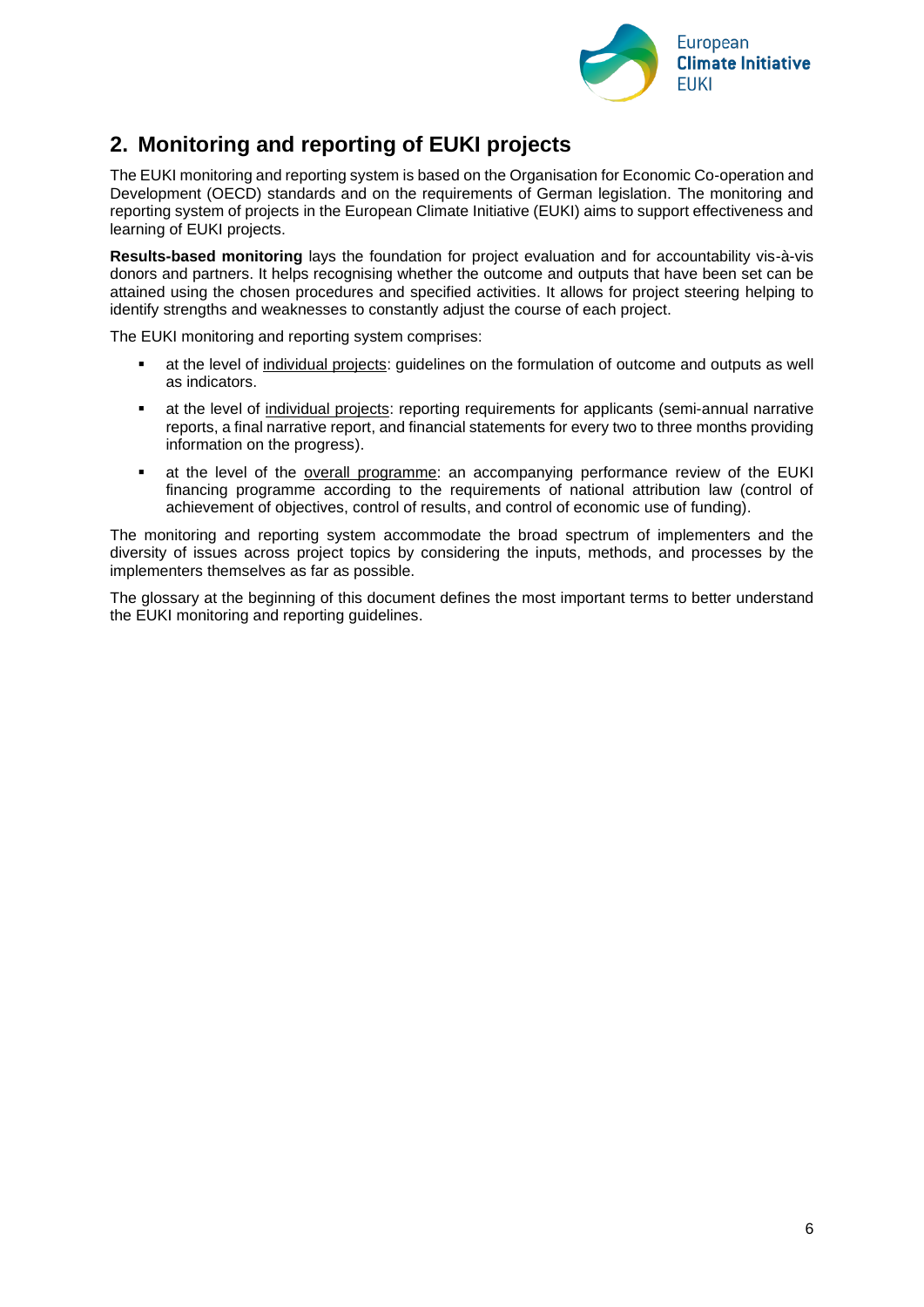

# <span id="page-5-0"></span>**2. Monitoring and reporting of EUKI projects**

The EUKI monitoring and reporting system is based on the Organisation for Economic Co-operation and Development (OECD) standards and on the requirements of German legislation. The monitoring and reporting system of projects in the European Climate Initiative (EUKI) aims to support effectiveness and learning of EUKI projects.

**Results-based monitoring** lays the foundation for project evaluation and for accountability vis-à-vis donors and partners. It helps recognising whether the outcome and outputs that have been set can be attained using the chosen procedures and specified activities. It allows for project steering helping to identify strengths and weaknesses to constantly adjust the course of each project.

The EUKI monitoring and reporting system comprises:

- at the level of individual projects: guidelines on the formulation of outcome and outputs as well as indicators.
- **•** at the level of individual projects: reporting requirements for applicants (semi-annual narrative reports, a final narrative report, and financial statements for every two to three months providing information on the progress).
- **•** at the level of the overall programme: an accompanying performance review of the EUKI financing programme according to the requirements of national attribution law (control of achievement of objectives, control of results, and control of economic use of funding).

The monitoring and reporting system accommodate the broad spectrum of implementers and the diversity of issues across project topics by considering the inputs, methods, and processes by the implementers themselves as far as possible.

The glossary at the beginning of this document defines the most important terms to better understand the EUKI monitoring and reporting guidelines.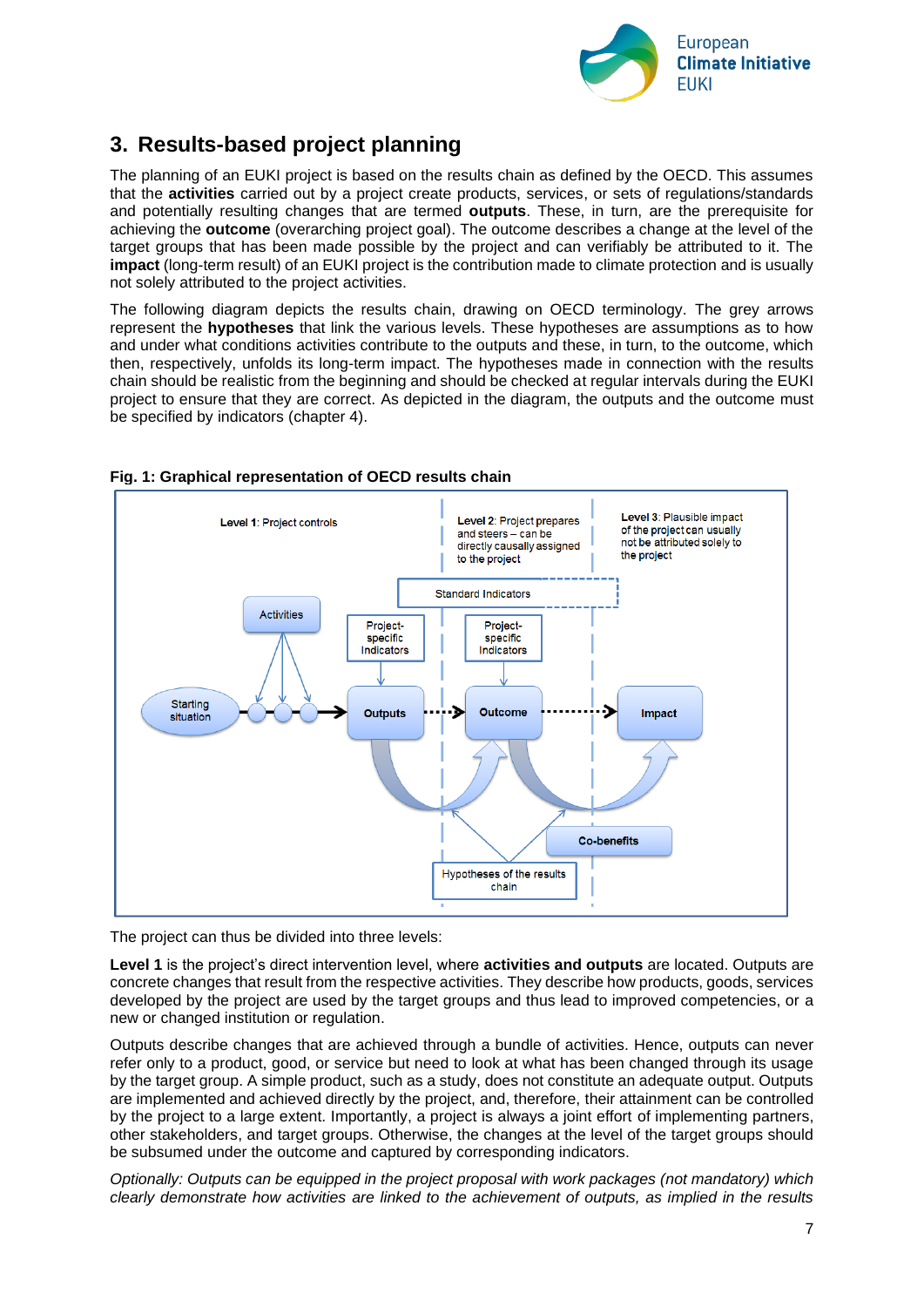

# <span id="page-6-0"></span>**3. Results-based project planning**

The planning of an EUKI project is based on the results chain as defined by the OECD. This assumes that the **activities** carried out by a project create products, services, or sets of regulations/standards and potentially resulting changes that are termed **outputs**. These, in turn, are the prerequisite for achieving the **outcome** (overarching project goal). The outcome describes a change at the level of the target groups that has been made possible by the project and can verifiably be attributed to it. The **impact** (long-term result) of an EUKI project is the contribution made to climate protection and is usually not solely attributed to the project activities.

The following diagram depicts the results chain, drawing on OECD terminology. The grey arrows represent the **hypotheses** that link the various levels. These hypotheses are assumptions as to how and under what conditions activities contribute to the outputs and these, in turn, to the outcome, which then, respectively, unfolds its long-term impact. The hypotheses made in connection with the results chain should be realistic from the beginning and should be checked at regular intervals during the EUKI project to ensure that they are correct. As depicted in the diagram, the outputs and the outcome must be specified by indicators (chapter 4).



#### **Fig. 1: Graphical representation of OECD results chain**

The project can thus be divided into three levels:

**Level 1** is the project's direct intervention level, where **activities and outputs** are located. Outputs are concrete changes that result from the respective activities. They describe how products, goods, services developed by the project are used by the target groups and thus lead to improved competencies, or a new or changed institution or regulation.

Outputs describe changes that are achieved through a bundle of activities. Hence, outputs can never refer only to a product, good, or service but need to look at what has been changed through its usage by the target group. A simple product, such as a study, does not constitute an adequate output. Outputs are implemented and achieved directly by the project, and, therefore, their attainment can be controlled by the project to a large extent. Importantly, a project is always a joint effort of implementing partners, other stakeholders, and target groups. Otherwise, the changes at the level of the target groups should be subsumed under the outcome and captured by corresponding indicators.

*Optionally: Outputs can be equipped in the project proposal with work packages (not mandatory) which clearly demonstrate how activities are linked to the achievement of outputs, as implied in the results*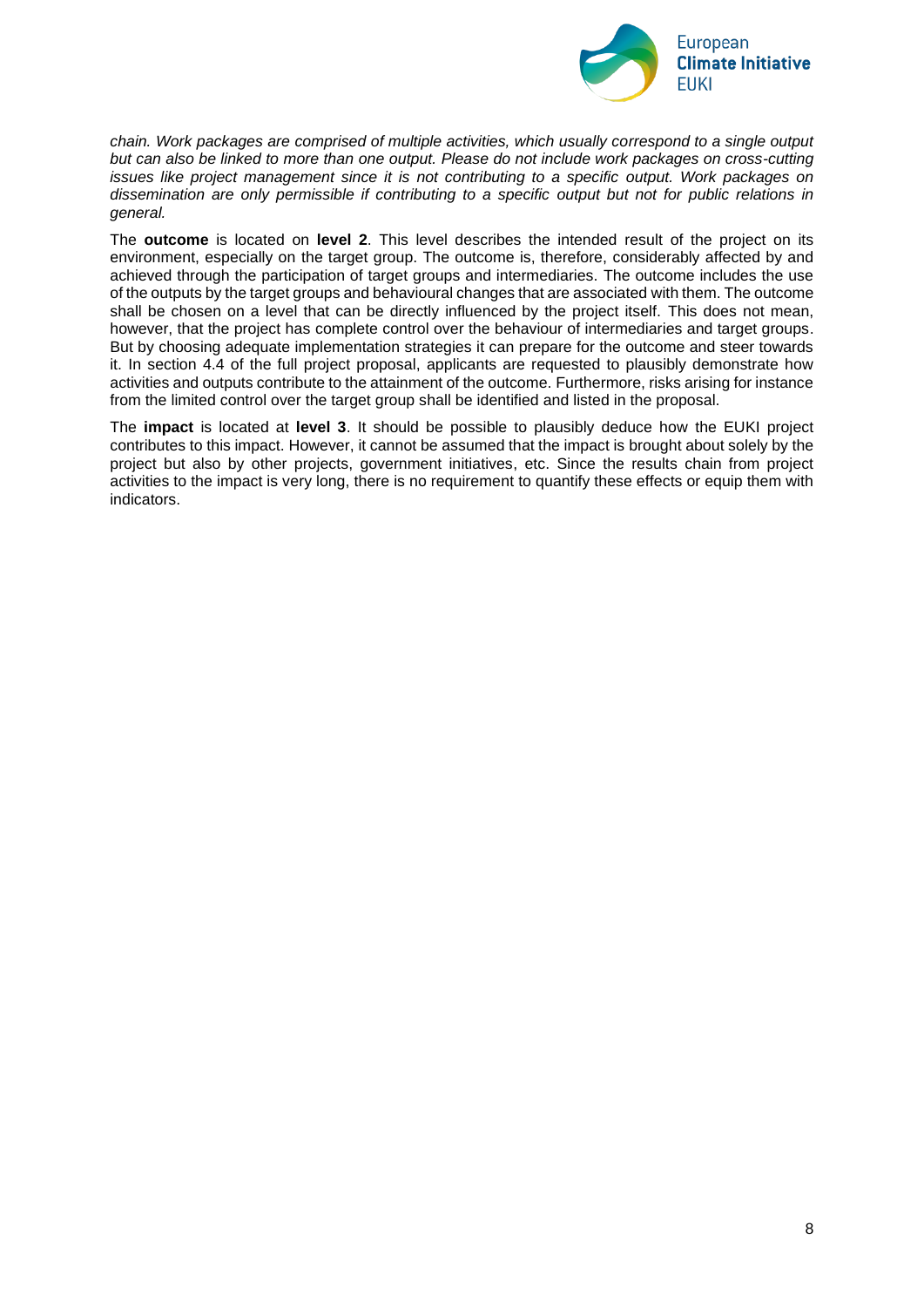

*chain. Work packages are comprised of multiple activities, which usually correspond to a single output but can also be linked to more than one output. Please do not include work packages on cross-cutting issues like project management since it is not contributing to a specific output. Work packages on dissemination are only permissible if contributing to a specific output but not for public relations in general.*

The **outcome** is located on **level 2**. This level describes the intended result of the project on its environment, especially on the target group. The outcome is, therefore, considerably affected by and achieved through the participation of target groups and intermediaries. The outcome includes the use of the outputs by the target groups and behavioural changes that are associated with them. The outcome shall be chosen on a level that can be directly influenced by the project itself. This does not mean, however, that the project has complete control over the behaviour of intermediaries and target groups. But by choosing adequate implementation strategies it can prepare for the outcome and steer towards it. In section 4.4 of the full project proposal, applicants are requested to plausibly demonstrate how activities and outputs contribute to the attainment of the outcome. Furthermore, risks arising for instance from the limited control over the target group shall be identified and listed in the proposal.

The **impact** is located at **level 3**. It should be possible to plausibly deduce how the EUKI project contributes to this impact. However, it cannot be assumed that the impact is brought about solely by the project but also by other projects, government initiatives, etc. Since the results chain from project activities to the impact is very long, there is no requirement to quantify these effects or equip them with indicators.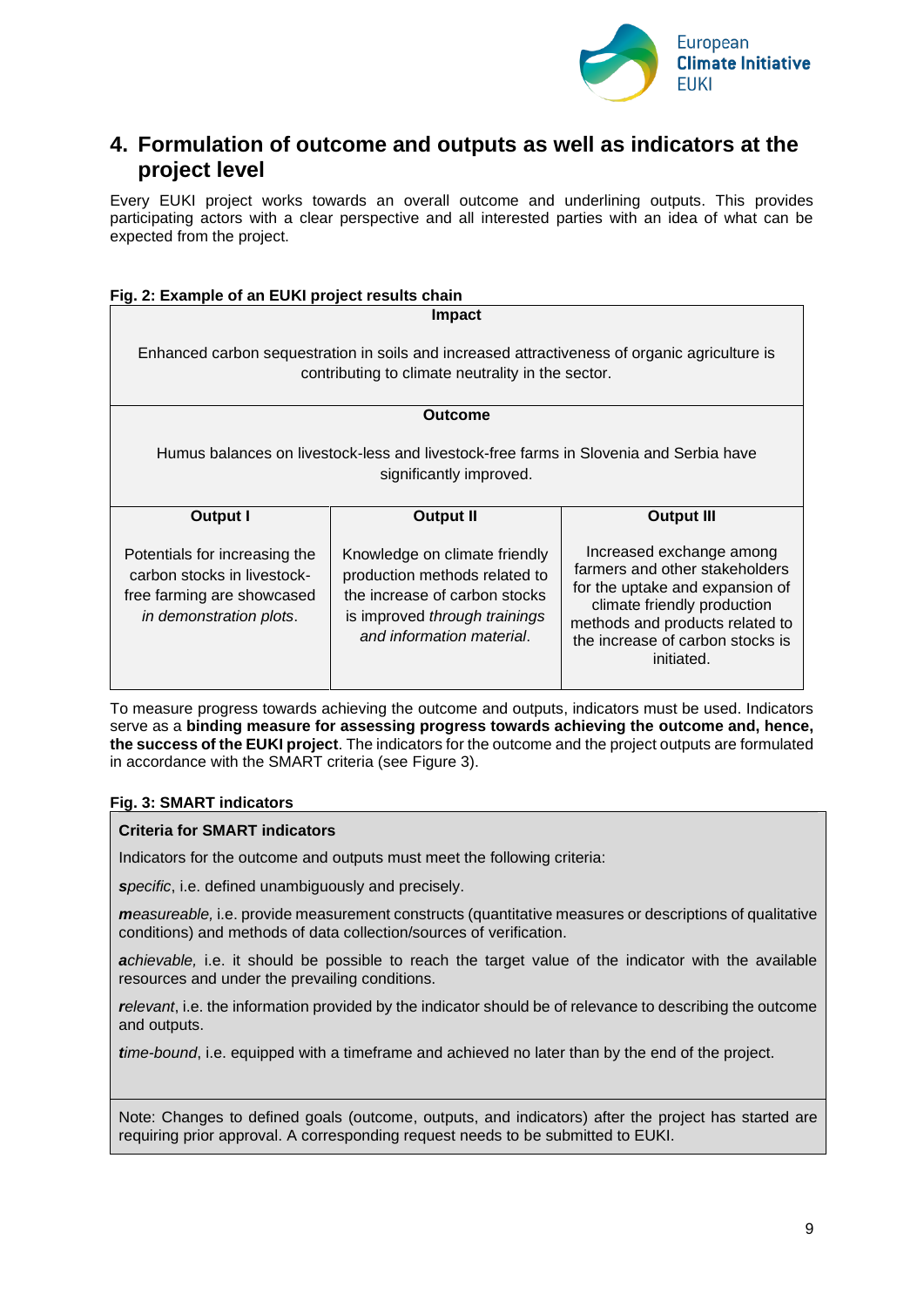

## <span id="page-8-0"></span>**4. Formulation of outcome and outputs as well as indicators at the project level**

Every EUKI project works towards an overall outcome and underlining outputs. This provides participating actors with a clear perspective and all interested parties with an idea of what can be expected from the project.

#### **Fig. 2: Example of an EUKI project results chain**

**Impact** Enhanced carbon sequestration in soils and increased attractiveness of organic agriculture is contributing to climate neutrality in the sector. **Outcome** Humus balances on livestock-less and livestock-free farms in Slovenia and Serbia have significantly improved. **Output I** Potentials for increasing the carbon stocks in livestockfree farming are showcased *in demonstration plots*. **Output II** Knowledge on climate friendly production methods related to the increase of carbon stocks is improved *through trainings and information material*. **Output III** Increased exchange among farmers and other stakeholders for the uptake and expansion of climate friendly production methods and products related to the increase of carbon stocks is initiated.

To measure progress towards achieving the outcome and outputs, indicators must be used. Indicators serve as a **binding measure for assessing progress towards achieving the outcome and, hence, the success of the EUKI project**. The indicators for the outcome and the project outputs are formulated in accordance with the SMART criteria (see Figure 3).

#### **Fig. 3: SMART indicators**

#### **Criteria for SMART indicators**

Indicators for the outcome and outputs must meet the following criteria:

• *specific*, i.e. defined unambiguously and precisely.

• *measureable,* i.e. provide measurement constructs (quantitative measures or descriptions of qualitative conditions) and methods of data collection/sources of verification.

• *achievable,* i.e. it should be possible to reach the target value of the indicator with the available resources and under the prevailing conditions.

• *relevant*, i.e. the information provided by the indicator should be of relevance to describing the outcome and outputs.

• *time-bound*, i.e. equipped with a timeframe and achieved no later than by the end of the project.

Note: Changes to defined goals (outcome, outputs, and indicators) after the project has started are requiring prior approval. A corresponding request needs to be submitted to EUKI.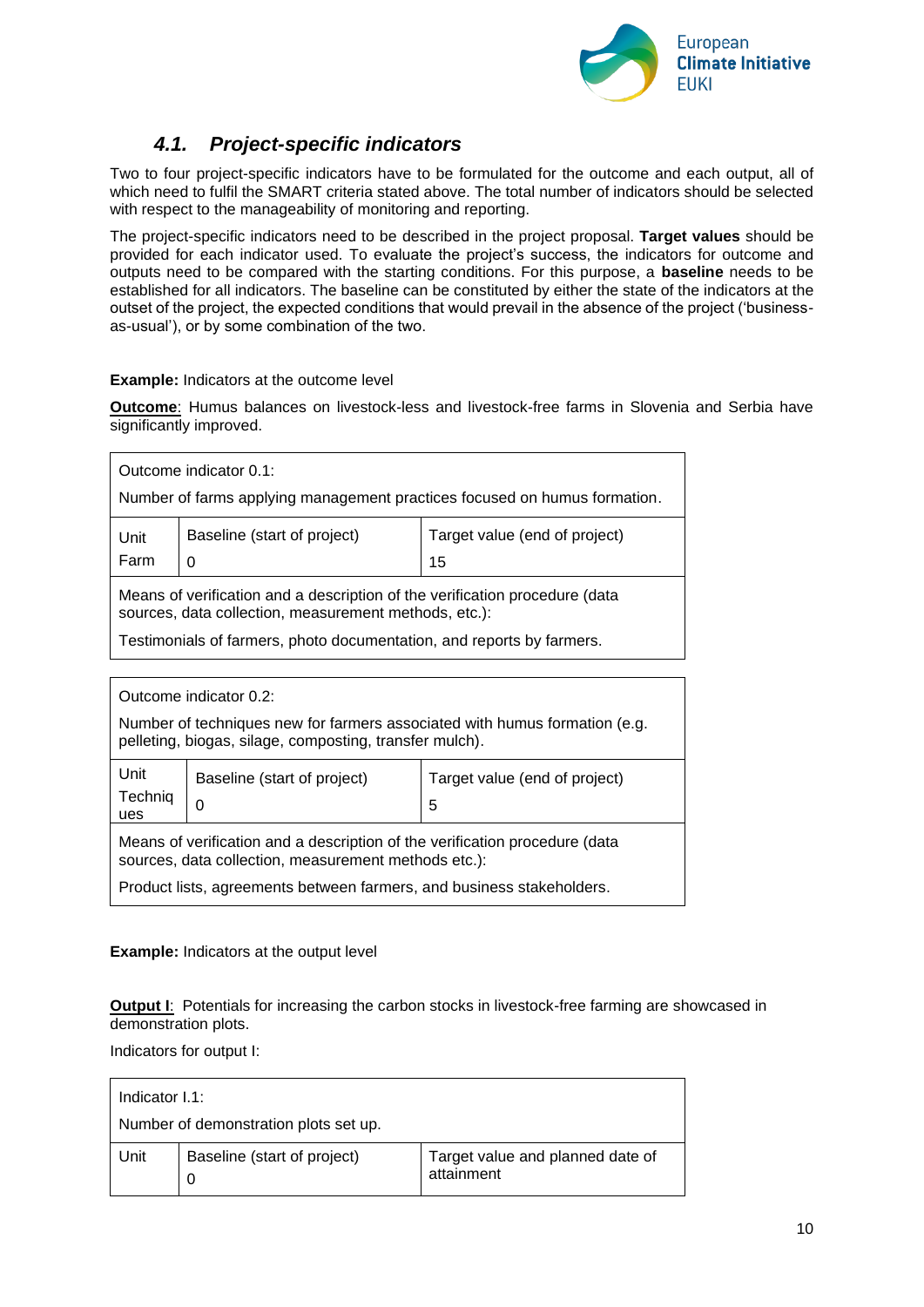

## *4.1. Project-specific indicators*

<span id="page-9-0"></span>Two to four project-specific indicators have to be formulated for the outcome and each output, all of which need to fulfil the SMART criteria stated above. The total number of indicators should be selected with respect to the manageability of monitoring and reporting.

The project-specific indicators need to be described in the project proposal. **Target values** should be provided for each indicator used. To evaluate the project's success, the indicators for outcome and outputs need to be compared with the starting conditions. For this purpose, a **baseline** needs to be established for all indicators. The baseline can be constituted by either the state of the indicators at the outset of the project, the expected conditions that would prevail in the absence of the project ('businessas-usual'), or by some combination of the two.

#### **Example:** Indicators at the outcome level

**Outcome**: Humus balances on livestock-less and livestock-free farms in Slovenia and Serbia have significantly improved.

| Outcome indicator 0.1:<br>Number of farms applying management practices focused on humus formation.                                                                                                           |                                                                                                                                       |                               |  |
|---------------------------------------------------------------------------------------------------------------------------------------------------------------------------------------------------------------|---------------------------------------------------------------------------------------------------------------------------------------|-------------------------------|--|
| Baseline (start of project)<br>Unit<br>Farm<br>15<br>$\Omega$                                                                                                                                                 |                                                                                                                                       | Target value (end of project) |  |
| Means of verification and a description of the verification procedure (data<br>sources, data collection, measurement methods, etc.):<br>Testimonials of farmers, photo documentation, and reports by farmers. |                                                                                                                                       |                               |  |
|                                                                                                                                                                                                               |                                                                                                                                       |                               |  |
| Outcome indicator 0.2:                                                                                                                                                                                        |                                                                                                                                       |                               |  |
|                                                                                                                                                                                                               | Number of techniques new for farmers associated with humus formation (e.g.<br>pelleting, biogas, silage, composting, transfer mulch). |                               |  |

| Unit<br>Technig<br>ues                                                                                                              | Baseline (start of project)<br>$\Omega$ | Target value (end of project)<br>5 |  |
|-------------------------------------------------------------------------------------------------------------------------------------|-----------------------------------------|------------------------------------|--|
| Means of verification and a description of the verification procedure (data<br>sources, data collection, measurement methods etc.): |                                         |                                    |  |
| Product lists, agreements between farmers, and business stakeholders.                                                               |                                         |                                    |  |

#### **Example:** Indicators at the output level

**Output I**: Potentials for increasing the carbon stocks in livestock-free farming are showcased in demonstration plots.

Indicators for output I:

| Indicator I.1:                        |                                  |                                                |
|---------------------------------------|----------------------------------|------------------------------------------------|
| Number of demonstration plots set up. |                                  |                                                |
| Unit                                  | Baseline (start of project)<br>0 | Target value and planned date of<br>attainment |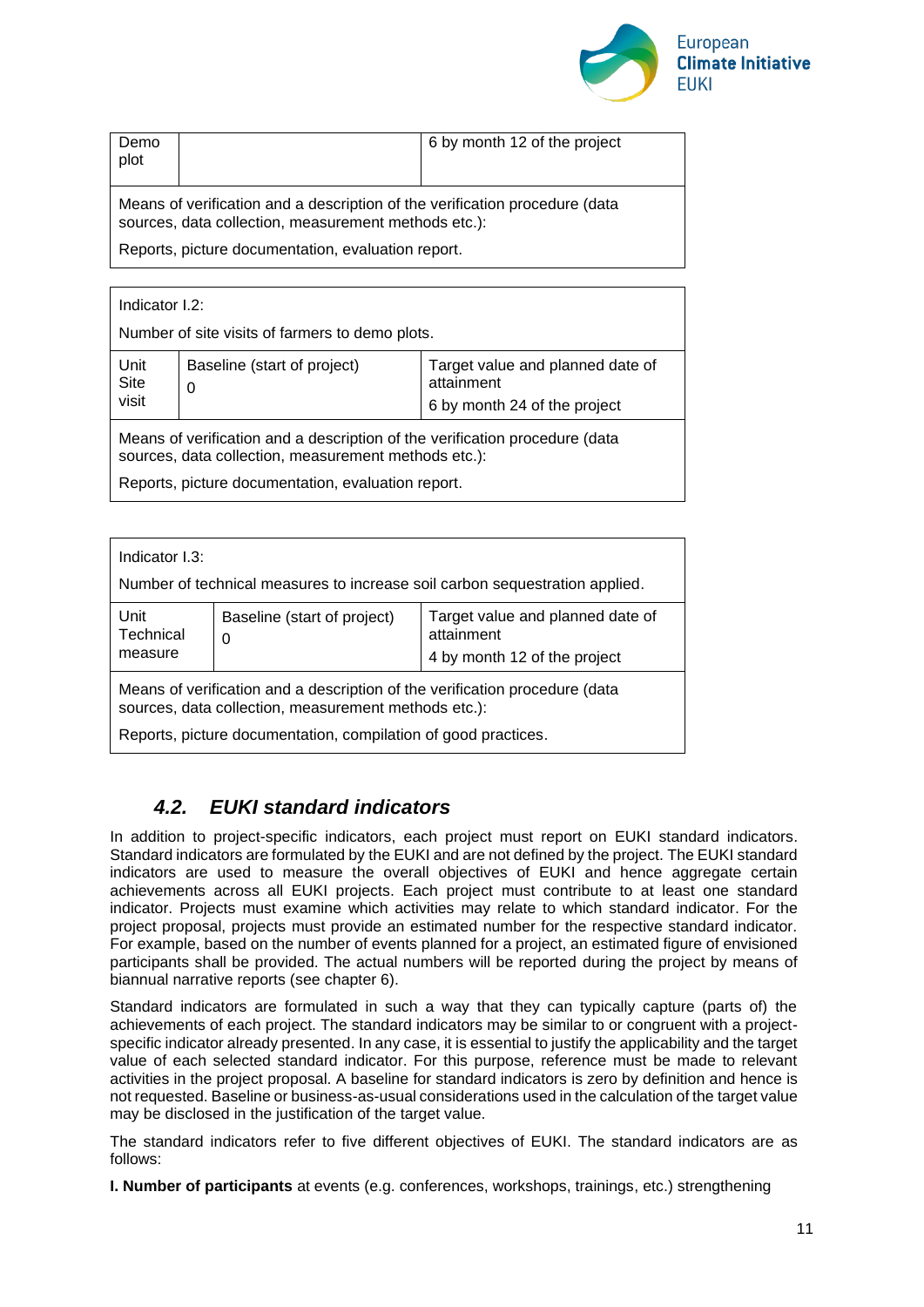

| Demo<br>plot                                                                                                                        |  | 6 by month 12 of the project |
|-------------------------------------------------------------------------------------------------------------------------------------|--|------------------------------|
| Means of verification and a description of the verification procedure (data<br>sources, data collection, measurement methods etc.): |  |                              |

Reports, picture documentation, evaluation report.

| Indicator I.2:                                                                                                                      |                                  |                                                                                |  |
|-------------------------------------------------------------------------------------------------------------------------------------|----------------------------------|--------------------------------------------------------------------------------|--|
| Number of site visits of farmers to demo plots.                                                                                     |                                  |                                                                                |  |
| Unit<br>Site<br>visit                                                                                                               | Baseline (start of project)<br>0 | Target value and planned date of<br>attainment<br>6 by month 24 of the project |  |
| Means of verification and a description of the verification procedure (data<br>sources, data collection, measurement methods etc.): |                                  |                                                                                |  |
| Reports, picture documentation, evaluation report.                                                                                  |                                  |                                                                                |  |

| Indicator I.3:<br>Number of technical measures to increase soil carbon sequestration applied.                                       |                                  |                                                                                |
|-------------------------------------------------------------------------------------------------------------------------------------|----------------------------------|--------------------------------------------------------------------------------|
| Unit<br>Technical<br>measure                                                                                                        | Baseline (start of project)<br>0 | Target value and planned date of<br>attainment<br>4 by month 12 of the project |
| Means of verification and a description of the verification procedure (data<br>sources, data collection, measurement methods etc.): |                                  |                                                                                |
| Reports, picture documentation, compilation of good practices.                                                                      |                                  |                                                                                |

## <span id="page-10-0"></span>*4.2. EUKI standard indicators*

In addition to project-specific indicators, each project must report on EUKI standard indicators. Standard indicators are formulated by the EUKI and are not defined by the project. The EUKI standard indicators are used to measure the overall objectives of EUKI and hence aggregate certain achievements across all EUKI projects. Each project must contribute to at least one standard indicator. Projects must examine which activities may relate to which standard indicator. For the project proposal, projects must provide an estimated number for the respective standard indicator. For example, based on the number of events planned for a project, an estimated figure of envisioned participants shall be provided. The actual numbers will be reported during the project by means of biannual narrative reports (see chapter 6).

Standard indicators are formulated in such a way that they can typically capture (parts of) the achievements of each project. The standard indicators may be similar to or congruent with a projectspecific indicator already presented. In any case, it is essential to justify the applicability and the target value of each selected standard indicator. For this purpose, reference must be made to relevant activities in the project proposal. A baseline for standard indicators is zero by definition and hence is not requested. Baseline or business-as-usual considerations used in the calculation of the target value may be disclosed in the justification of the target value.

The standard indicators refer to five different objectives of EUKI. The standard indicators are as follows:

**I. Number of participants** at events (e.g. conferences, workshops, trainings, etc.) strengthening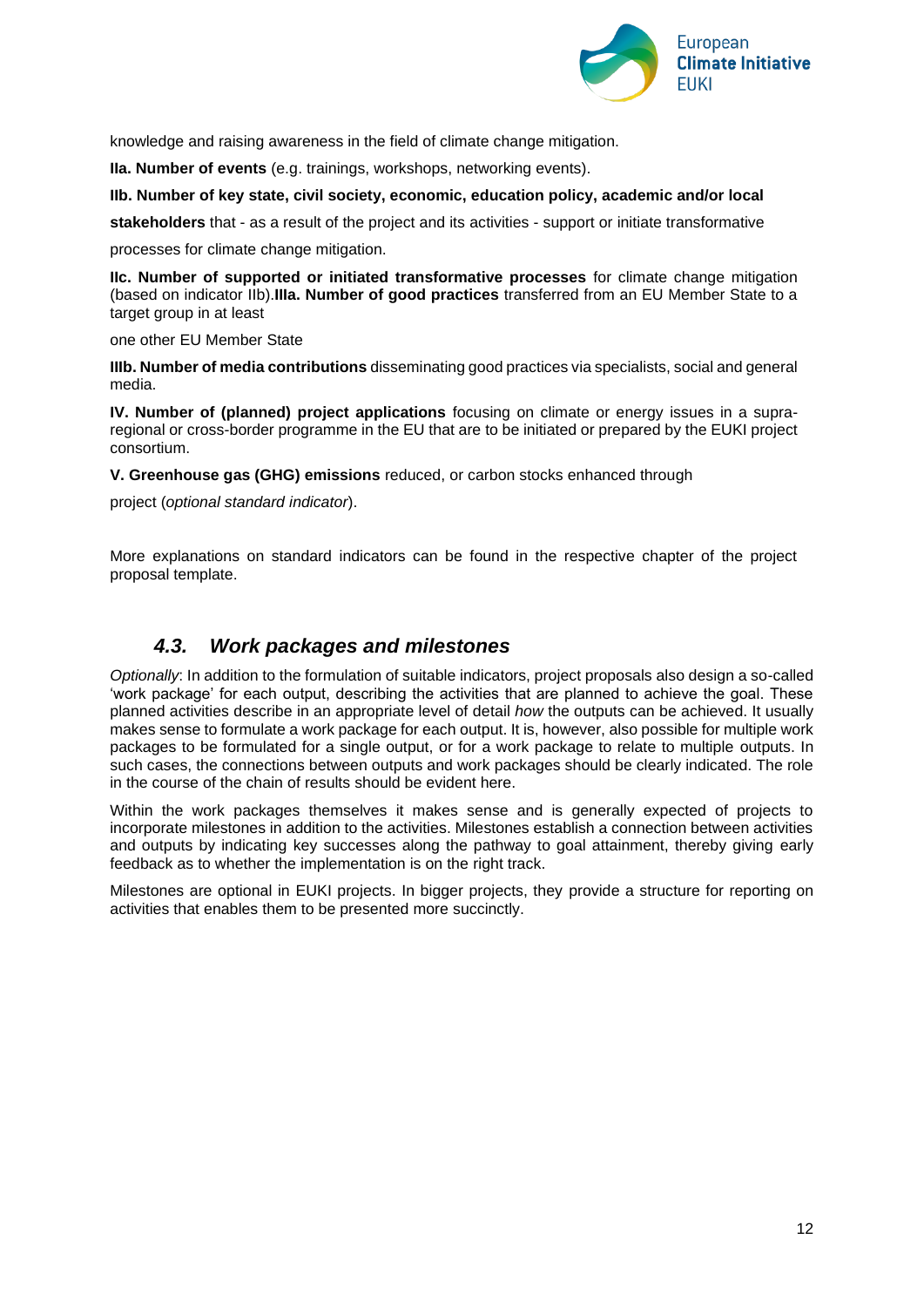

knowledge and raising awareness in the field of climate change mitigation.

**IIa. Number of events** (e.g. trainings, workshops, networking events).

#### **IIb. Number of key state, civil society, economic, education policy, academic and/or local**

**stakeholders** that - as a result of the project and its activities - support or initiate transformative

processes for climate change mitigation.

**IIc. Number of supported or initiated transformative processes** for climate change mitigation (based on indicator IIb).**IIIa. Number of good practices** transferred from an EU Member State to a target group in at least

one other EU Member State

**IIIb. Number of media contributions** disseminating good practices via specialists, social and general media.

**IV. Number of (planned) project applications** focusing on climate or energy issues in a supraregional or cross-border programme in the EU that are to be initiated or prepared by the EUKI project consortium.

**V. Greenhouse gas (GHG) emissions** reduced, or carbon stocks enhanced through

project (*optional standard indicator*).

More explanations on standard indicators can be found in the respective chapter of the project proposal template.

### *4.3. Work packages and milestones*

<span id="page-11-0"></span>*Optionally*: In addition to the formulation of suitable indicators, project proposals also design a so-called 'work package' for each output, describing the activities that are planned to achieve the goal. These planned activities describe in an appropriate level of detail *how* the outputs can be achieved. It usually makes sense to formulate a work package for each output. It is, however, also possible for multiple work packages to be formulated for a single output, or for a work package to relate to multiple outputs. In such cases, the connections between outputs and work packages should be clearly indicated. The role in the course of the chain of results should be evident here.

Within the work packages themselves it makes sense and is generally expected of projects to incorporate milestones in addition to the activities. Milestones establish a connection between activities and outputs by indicating key successes along the pathway to goal attainment, thereby giving early feedback as to whether the implementation is on the right track.

Milestones are optional in EUKI projects. In bigger projects, they provide a structure for reporting on activities that enables them to be presented more succinctly.